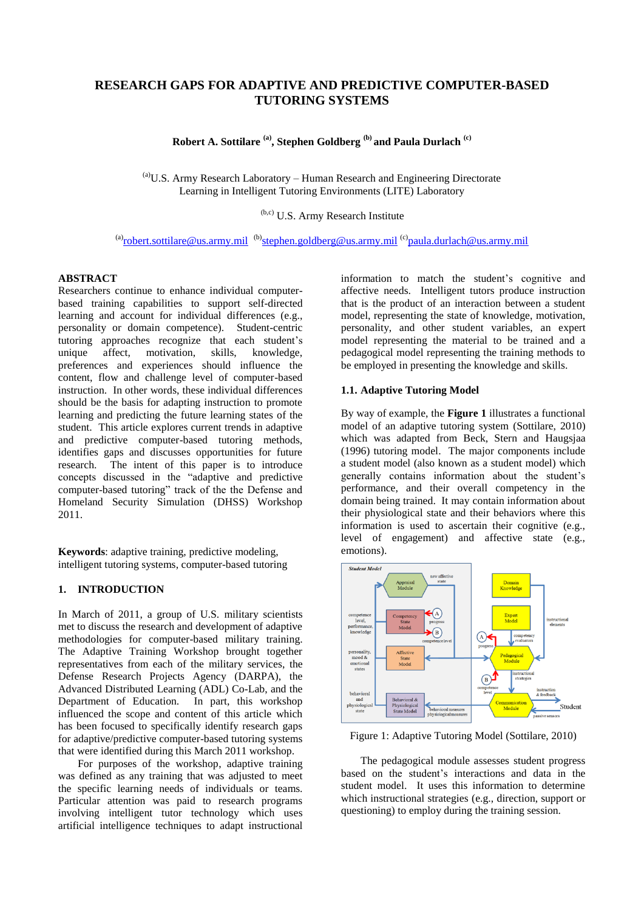# **RESEARCH GAPS FOR ADAPTIVE AND PREDICTIVE COMPUTER-BASED TUTORING SYSTEMS**

**Robert A. Sottilare (a) , Stephen Goldberg (b) and Paula Durlach (c)**

(a)U.S. Army Research Laboratory – Human Research and Engineering Directorate Learning in Intelligent Tutoring Environments (LITE) Laboratory

(b,c) U.S. Army Research Institute

<sup>(a)</sup><u>[robert.sottilare@us.army.mil](mailto:robert.sottilare@us.army.mil)\_<sup>(b)</sup>[stephen.goldberg@us.army.mil](mailto:benjamin.s.goldberg@us.army.mil)<sup>(c)</sup>[paula.durlach@us.army.mil](mailto:paula.durlach@us.army.mil)</u>

# **ABSTRACT**

Researchers continue to enhance individual computerbased training capabilities to support self-directed learning and account for individual differences (e.g., personality or domain competence). Student-centric tutoring approaches recognize that each student's unique affect, motivation, skills, knowledge, preferences and experiences should influence the content, flow and challenge level of computer-based instruction. In other words, these individual differences should be the basis for adapting instruction to promote learning and predicting the future learning states of the student. This article explores current trends in adaptive and predictive computer-based tutoring methods, identifies gaps and discusses opportunities for future research. The intent of this paper is to introduce concepts discussed in the "adaptive and predictive computer-based tutoring" track of the the Defense and Homeland Security Simulation (DHSS) Workshop 2011.

**Keywords**: adaptive training, predictive modeling, intelligent tutoring systems, computer-based tutoring

## **1. INTRODUCTION**

In March of 2011, a group of U.S. military scientists met to discuss the research and development of adaptive methodologies for computer-based military training. The Adaptive Training Workshop brought together representatives from each of the military services, the Defense Research Projects Agency (DARPA), the Advanced Distributed Learning (ADL) Co-Lab, and the Department of Education. In part, this workshop influenced the scope and content of this article which has been focused to specifically identify research gaps for adaptive/predictive computer-based tutoring systems that were identified during this March 2011 workshop.

For purposes of the workshop, adaptive training was defined as any training that was adjusted to meet the specific learning needs of individuals or teams. Particular attention was paid to research programs involving intelligent tutor technology which uses artificial intelligence techniques to adapt instructional

information to match the student's cognitive and affective needs. Intelligent tutors produce instruction that is the product of an interaction between a student model, representing the state of knowledge, motivation, personality, and other student variables, an expert model representing the material to be trained and a pedagogical model representing the training methods to be employed in presenting the knowledge and skills.

#### **1.1. Adaptive Tutoring Model**

By way of example, the **[Figure 1](#page-0-0)** illustrates a functional model of an adaptive tutoring system (Sottilare, 2010) which was adapted from Beck, Stern and Haugsjaa (1996) tutoring model. The major components include a student model (also known as a student model) which generally contains information about the student's performance, and their overall competency in the domain being trained. It may contain information about their physiological state and their behaviors where this information is used to ascertain their cognitive (e.g., level of engagement) and affective state (e.g., emotions).



<span id="page-0-0"></span>Figure 1: Adaptive Tutoring Model (Sottilare, 2010)

The pedagogical module assesses student progress based on the student's interactions and data in the student model. It uses this information to determine which instructional strategies (e.g., direction, support or questioning) to employ during the training session.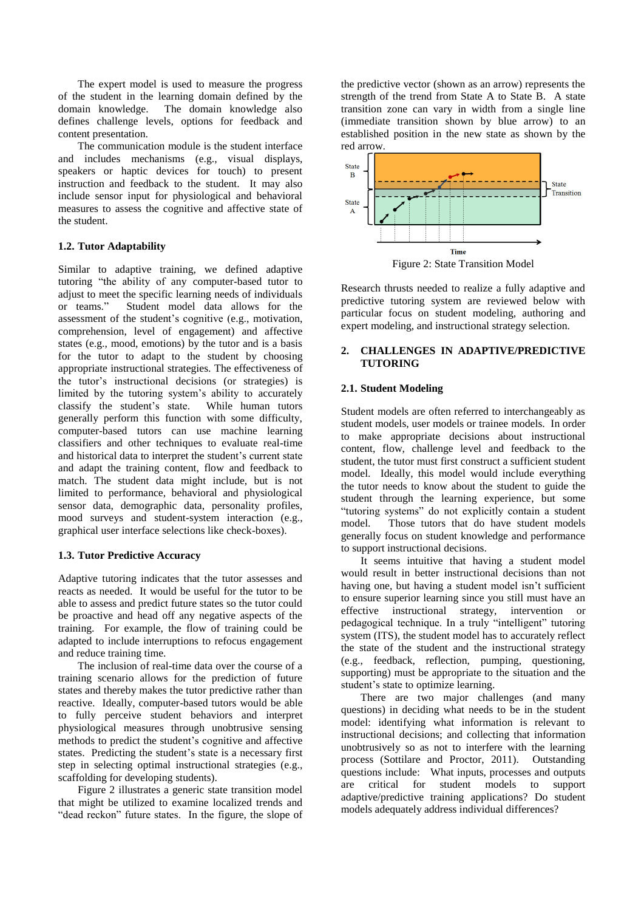The expert model is used to measure the progress of the student in the learning domain defined by the domain knowledge. The domain knowledge also defines challenge levels, options for feedback and content presentation.

The communication module is the student interface and includes mechanisms (e.g., visual displays, speakers or haptic devices for touch) to present instruction and feedback to the student. It may also include sensor input for physiological and behavioral measures to assess the cognitive and affective state of the student.

#### **1.2. Tutor Adaptability**

Similar to adaptive training, we defined adaptive tutoring "the ability of any computer-based tutor to adjust to meet the specific learning needs of individuals or teams." Student model data allows for the assessment of the student's cognitive (e.g., motivation, comprehension, level of engagement) and affective states (e.g., mood, emotions) by the tutor and is a basis for the tutor to adapt to the student by choosing appropriate instructional strategies. The effectiveness of the tutor's instructional decisions (or strategies) is limited by the tutoring system's ability to accurately classify the student's state. While human tutors generally perform this function with some difficulty, computer-based tutors can use machine learning classifiers and other techniques to evaluate real-time and historical data to interpret the student's current state and adapt the training content, flow and feedback to match. The student data might include, but is not limited to performance, behavioral and physiological sensor data, demographic data, personality profiles, mood surveys and student-system interaction (e.g., graphical user interface selections like check-boxes).

#### **1.3. Tutor Predictive Accuracy**

Adaptive tutoring indicates that the tutor assesses and reacts as needed. It would be useful for the tutor to be able to assess and predict future states so the tutor could be proactive and head off any negative aspects of the training. For example, the flow of training could be adapted to include interruptions to refocus engagement and reduce training time.

The inclusion of real-time data over the course of a training scenario allows for the prediction of future states and thereby makes the tutor predictive rather than reactive. Ideally, computer-based tutors would be able to fully perceive student behaviors and interpret physiological measures through unobtrusive sensing methods to predict the student's cognitive and affective states. Predicting the student's state is a necessary first step in selecting optimal instructional strategies (e.g., scaffolding for developing students).

[Figure 2](#page-1-0) illustrates a generic state transition model that might be utilized to examine localized trends and "dead reckon" future states. In the figure, the slope of the predictive vector (shown as an arrow) represents the strength of the trend from State A to State B. A state transition zone can vary in width from a single line (immediate transition shown by blue arrow) to an established position in the new state as shown by the red arrow.



<span id="page-1-0"></span>Research thrusts needed to realize a fully adaptive and predictive tutoring system are reviewed below with particular focus on student modeling, authoring and expert modeling, and instructional strategy selection.

# **2. CHALLENGES IN ADAPTIVE/PREDICTIVE TUTORING**

#### **2.1. Student Modeling**

Student models are often referred to interchangeably as student models, user models or trainee models. In order to make appropriate decisions about instructional content, flow, challenge level and feedback to the student, the tutor must first construct a sufficient student model. Ideally, this model would include everything the tutor needs to know about the student to guide the student through the learning experience, but some "tutoring systems" do not explicitly contain a student model. Those tutors that do have student models generally focus on student knowledge and performance to support instructional decisions.

It seems intuitive that having a student model would result in better instructional decisions than not having one, but having a student model isn't sufficient to ensure superior learning since you still must have an effective instructional strategy, intervention or pedagogical technique. In a truly "intelligent" tutoring system (ITS), the student model has to accurately reflect the state of the student and the instructional strategy (e.g., feedback, reflection, pumping, questioning, supporting) must be appropriate to the situation and the student's state to optimize learning.

There are two major challenges (and many questions) in deciding what needs to be in the student model: identifying what information is relevant to instructional decisions; and collecting that information unobtrusively so as not to interfere with the learning process (Sottilare and Proctor, 2011). Outstanding questions include: What inputs, processes and outputs are critical for student models to support adaptive/predictive training applications? Do student models adequately address individual differences?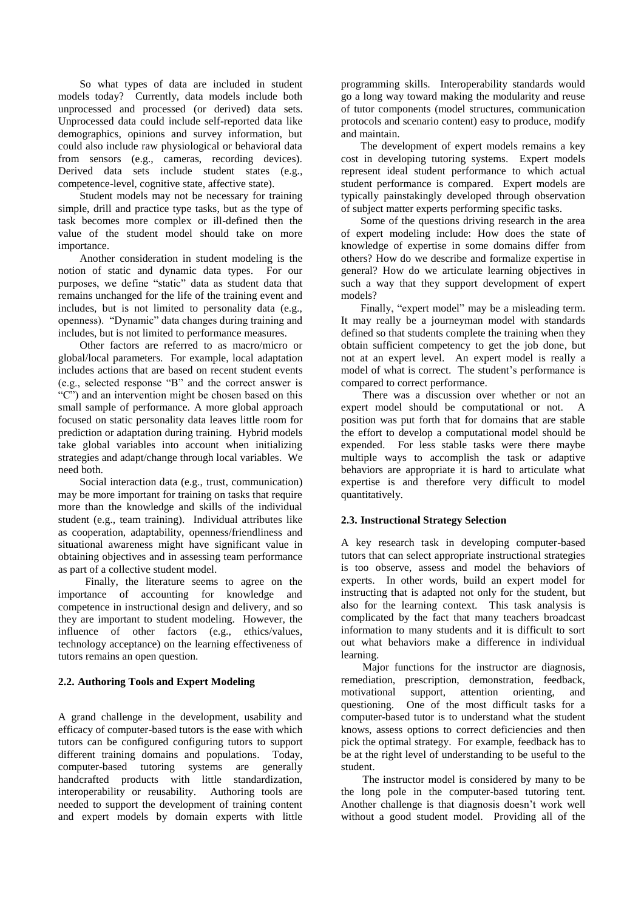So what types of data are included in student models today? Currently, data models include both unprocessed and processed (or derived) data sets. Unprocessed data could include self-reported data like demographics, opinions and survey information, but could also include raw physiological or behavioral data from sensors (e.g., cameras, recording devices). Derived data sets include student states (e.g., competence-level, cognitive state, affective state).

Student models may not be necessary for training simple, drill and practice type tasks, but as the type of task becomes more complex or ill-defined then the value of the student model should take on more importance.

Another consideration in student modeling is the notion of static and dynamic data types. For our purposes, we define "static" data as student data that remains unchanged for the life of the training event and includes, but is not limited to personality data (e.g., openness). "Dynamic" data changes during training and includes, but is not limited to performance measures.

Other factors are referred to as macro/micro or global/local parameters. For example, local adaptation includes actions that are based on recent student events (e.g., selected response "B" and the correct answer is "C") and an intervention might be chosen based on this small sample of performance. A more global approach focused on static personality data leaves little room for prediction or adaptation during training. Hybrid models take global variables into account when initializing strategies and adapt/change through local variables. We need both.

Social interaction data (e.g., trust, communication) may be more important for training on tasks that require more than the knowledge and skills of the individual student (e.g., team training). Individual attributes like as cooperation, adaptability, openness/friendliness and situational awareness might have significant value in obtaining objectives and in assessing team performance as part of a collective student model.

 Finally, the literature seems to agree on the importance of accounting for knowledge and competence in instructional design and delivery, and so they are important to student modeling. However, the influence of other factors (e.g., ethics/values, technology acceptance) on the learning effectiveness of tutors remains an open question.

## **2.2. Authoring Tools and Expert Modeling**

A grand challenge in the development, usability and efficacy of computer-based tutors is the ease with which tutors can be configured configuring tutors to support different training domains and populations. Today, computer-based tutoring systems are generally handcrafted products with little standardization, interoperability or reusability. Authoring tools are needed to support the development of training content and expert models by domain experts with little

programming skills. Interoperability standards would go a long way toward making the modularity and reuse of tutor components (model structures, communication protocols and scenario content) easy to produce, modify and maintain.

The development of expert models remains a key cost in developing tutoring systems. Expert models represent ideal student performance to which actual student performance is compared. Expert models are typically painstakingly developed through observation of subject matter experts performing specific tasks.

Some of the questions driving research in the area of expert modeling include: How does the state of knowledge of expertise in some domains differ from others? How do we describe and formalize expertise in general? How do we articulate learning objectives in such a way that they support development of expert models?

Finally, "expert model" may be a misleading term. It may really be a journeyman model with standards defined so that students complete the training when they obtain sufficient competency to get the job done, but not at an expert level. An expert model is really a model of what is correct. The student's performance is compared to correct performance.

There was a discussion over whether or not an expert model should be computational or not. A position was put forth that for domains that are stable the effort to develop a computational model should be expended. For less stable tasks were there maybe multiple ways to accomplish the task or adaptive behaviors are appropriate it is hard to articulate what expertise is and therefore very difficult to model quantitatively.

#### **2.3. Instructional Strategy Selection**

A key research task in developing computer-based tutors that can select appropriate instructional strategies is too observe, assess and model the behaviors of experts. In other words, build an expert model for instructing that is adapted not only for the student, but also for the learning context. This task analysis is complicated by the fact that many teachers broadcast information to many students and it is difficult to sort out what behaviors make a difference in individual learning.

Major functions for the instructor are diagnosis, remediation, prescription, demonstration, feedback, motivational support, attention orienting, and questioning. One of the most difficult tasks for a computer-based tutor is to understand what the student knows, assess options to correct deficiencies and then pick the optimal strategy. For example, feedback has to be at the right level of understanding to be useful to the student.

The instructor model is considered by many to be the long pole in the computer-based tutoring tent. Another challenge is that diagnosis doesn't work well without a good student model. Providing all of the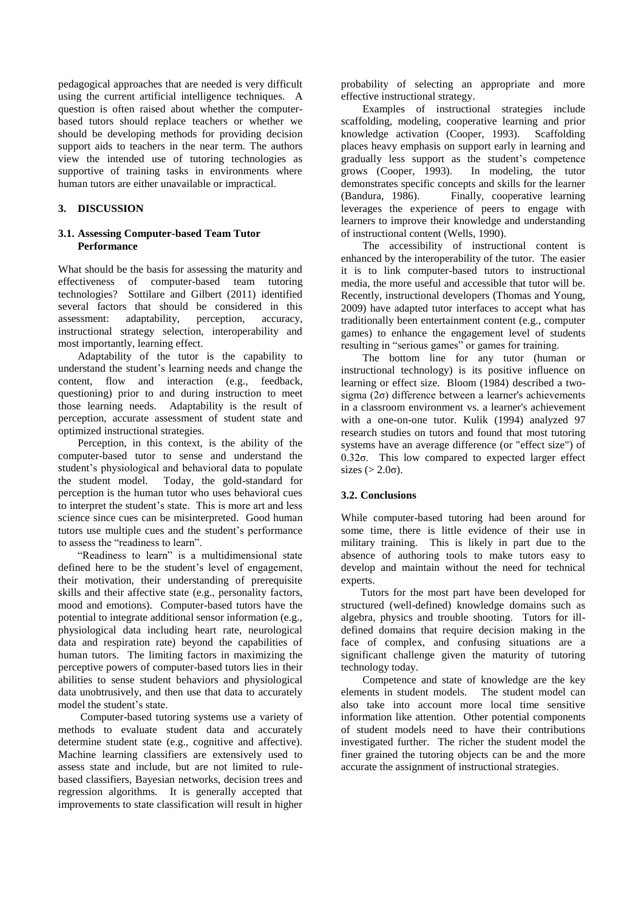pedagogical approaches that are needed is very difficult using the current artificial intelligence techniques. A question is often raised about whether the computerbased tutors should replace teachers or whether we should be developing methods for providing decision support aids to teachers in the near term. The authors view the intended use of tutoring technologies as supportive of training tasks in environments where human tutors are either unavailable or impractical.

#### **3. DISCUSSION**

#### **3.1. Assessing Computer-based Team Tutor Performance**

What should be the basis for assessing the maturity and effectiveness of computer-based team tutoring technologies? Sottilare and Gilbert (2011) identified several factors that should be considered in this assessment: adaptability, perception, accuracy, instructional strategy selection, interoperability and most importantly, learning effect.

Adaptability of the tutor is the capability to understand the student's learning needs and change the content, flow and interaction (e.g., feedback, questioning) prior to and during instruction to meet those learning needs. Adaptability is the result of perception, accurate assessment of student state and optimized instructional strategies.

Perception, in this context, is the ability of the computer-based tutor to sense and understand the student's physiological and behavioral data to populate the student model. Today, the gold-standard for perception is the human tutor who uses behavioral cues to interpret the student's state. This is more art and less science since cues can be misinterpreted. Good human tutors use multiple cues and the student's performance to assess the "readiness to learn".

"Readiness to learn" is a multidimensional state defined here to be the student's level of engagement, their motivation, their understanding of prerequisite skills and their affective state (e.g., personality factors, mood and emotions). Computer-based tutors have the potential to integrate additional sensor information (e.g., physiological data including heart rate, neurological data and respiration rate) beyond the capabilities of human tutors. The limiting factors in maximizing the perceptive powers of computer-based tutors lies in their abilities to sense student behaviors and physiological data unobtrusively, and then use that data to accurately model the student's state.

Computer-based tutoring systems use a variety of methods to evaluate student data and accurately determine student state (e.g., cognitive and affective). Machine learning classifiers are extensively used to assess state and include, but are not limited to rulebased classifiers, Bayesian networks, decision trees and regression algorithms. It is generally accepted that improvements to state classification will result in higher

probability of selecting an appropriate and more effective instructional strategy.

Examples of instructional strategies include scaffolding, modeling, cooperative learning and prior knowledge activation (Cooper, 1993). Scaffolding places heavy emphasis on support early in learning and gradually less support as the student's competence grows (Cooper, 1993). In modeling, the tutor demonstrates specific concepts and skills for the learner<br>(Bandura, 1986). Finally, cooperative learning Finally, cooperative learning leverages the experience of peers to engage with learners to improve their knowledge and understanding of instructional content (Wells, 1990).

The accessibility of instructional content is enhanced by the interoperability of the tutor. The easier it is to link computer-based tutors to instructional media, the more useful and accessible that tutor will be. Recently, instructional developers (Thomas and Young, 2009) have adapted tutor interfaces to accept what has traditionally been entertainment content (e.g., computer games) to enhance the engagement level of students resulting in "serious games" or games for training.

The bottom line for any tutor (human or instructional technology) is its positive influence on learning or effect size. Bloom (1984) described a twosigma  $(2\sigma)$  difference between a learner's achievements in a classroom environment vs. a learner's achievement with a one-on-one tutor. Kulik (1994) analyzed 97 research studies on tutors and found that most tutoring systems have an average difference (or "effect size") of  $0.32\sigma$ . This low compared to expected larger effect sizes  $(>2.0\sigma)$ .

# **3.2. Conclusions**

While computer-based tutoring had been around for some time, there is little evidence of their use in military training. This is likely in part due to the absence of authoring tools to make tutors easy to develop and maintain without the need for technical experts.

Tutors for the most part have been developed for structured (well-defined) knowledge domains such as algebra, physics and trouble shooting. Tutors for illdefined domains that require decision making in the face of complex, and confusing situations are a significant challenge given the maturity of tutoring technology today.

Competence and state of knowledge are the key elements in student models. The student model can also take into account more local time sensitive information like attention. Other potential components of student models need to have their contributions investigated further. The richer the student model the finer grained the tutoring objects can be and the more accurate the assignment of instructional strategies.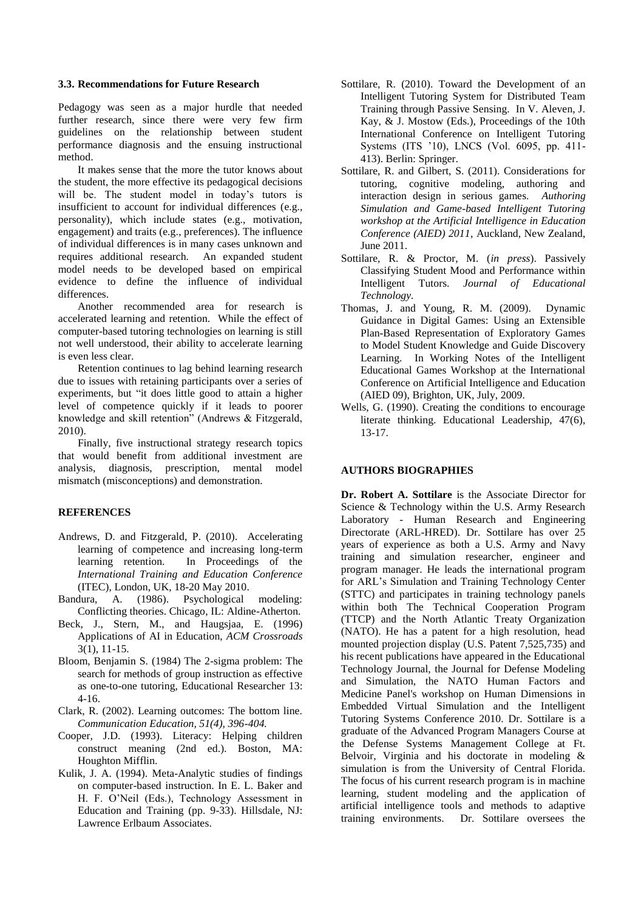#### **3.3. Recommendations for Future Research**

Pedagogy was seen as a major hurdle that needed further research, since there were very few firm guidelines on the relationship between student performance diagnosis and the ensuing instructional method.

It makes sense that the more the tutor knows about the student, the more effective its pedagogical decisions will be. The student model in today's tutors is insufficient to account for individual differences (e.g., personality), which include states (e.g., motivation, engagement) and traits (e.g., preferences). The influence of individual differences is in many cases unknown and requires additional research. An expanded student model needs to be developed based on empirical evidence to define the influence of individual differences.

Another recommended area for research is accelerated learning and retention. While the effect of computer-based tutoring technologies on learning is still not well understood, their ability to accelerate learning is even less clear.

Retention continues to lag behind learning research due to issues with retaining participants over a series of experiments, but "it does little good to attain a higher level of competence quickly if it leads to poorer knowledge and skill retention" (Andrews & Fitzgerald, 2010).

Finally, five instructional strategy research topics that would benefit from additional investment are analysis, diagnosis, prescription, mental model mismatch (misconceptions) and demonstration.

## **REFERENCES**

- Andrews, D. and Fitzgerald, P. (2010). Accelerating learning of competence and increasing long-term learning retention. In Proceedings of the *International Training and Education Conference* (ITEC), London, UK, 18-20 May 2010.
- Bandura, A. (1986). Psychological modeling: Conflicting theories. Chicago, IL: Aldine-Atherton.
- Beck, J., Stern, M., and Haugsjaa, E. (1996) Applications of AI in Education, *ACM Crossroads* 3(1), 11-15.
- Bloom, Benjamin S. (1984) The 2-sigma problem: The search for methods of group instruction as effective as one-to-one tutoring, Educational Researcher 13: 4-16.
- Clark, R. (2002). Learning outcomes: The bottom line. *Communication Education, 51(4), 396-404.*
- Cooper, J.D. (1993). Literacy: Helping children construct meaning (2nd ed.). Boston, MA: Houghton Mifflin.
- Kulik, J. A. (1994). Meta-Analytic studies of findings on computer-based instruction. In E. L. Baker and H. F. O'Neil (Eds.), Technology Assessment in Education and Training (pp. 9-33). Hillsdale, NJ: Lawrence Erlbaum Associates.
- Sottilare, R. (2010). Toward the Development of an Intelligent Tutoring System for Distributed Team Training through Passive Sensing. In V. Aleven, J. Kay, & J. Mostow (Eds.), Proceedings of the 10th International Conference on Intelligent Tutoring Systems (ITS '10), LNCS (Vol. 6095, pp. 411- 413). Berlin: Springer.
- Sottilare, R. and Gilbert, S. (2011). Considerations for tutoring, cognitive modeling, authoring and interaction design in serious games. *Authoring Simulation and Game-based Intelligent Tutoring workshop at the Artificial Intelligence in Education Conference (AIED) 2011*, Auckland, New Zealand, June 2011.
- Sottilare, R. & Proctor, M. (*in press*). Passively Classifying Student Mood and Performance within Intelligent Tutors. *Journal of Educational Technology.*
- Thomas, J. and Young, R. M. (2009). Dynamic Guidance in Digital Games: Using an Extensible Plan-Based Representation of Exploratory Games to Model Student Knowledge and Guide Discovery Learning. In Working Notes of the Intelligent Educational Games Workshop at the International Conference on Artificial Intelligence and Education (AIED 09), Brighton, UK, July, 2009.
- Wells, G. (1990). Creating the conditions to encourage literate thinking. Educational Leadership, 47(6), 13-17.

## **AUTHORS BIOGRAPHIES**

**Dr. Robert A. Sottilare** is the Associate Director for Science & Technology within the U.S. Army Research Laboratory - Human Research and Engineering Directorate (ARL-HRED). Dr. Sottilare has over 25 years of experience as both a U.S. Army and Navy training and simulation researcher, engineer and program manager. He leads the international program for ARL's Simulation and Training Technology Center (STTC) and participates in training technology panels within both The Technical Cooperation Program (TTCP) and the North Atlantic Treaty Organization (NATO). He has a patent for a high resolution, head mounted projection display (U.S. Patent 7,525,735) and his recent publications have appeared in the Educational Technology Journal, the Journal for Defense Modeling and Simulation, the NATO Human Factors and Medicine Panel's workshop on Human Dimensions in Embedded Virtual Simulation and the Intelligent Tutoring Systems Conference 2010. Dr. Sottilare is a graduate of the Advanced Program Managers Course at the Defense Systems Management College at Ft. Belvoir, Virginia and his doctorate in modeling & simulation is from the University of Central Florida. The focus of his current research program is in machine learning, student modeling and the application of artificial intelligence tools and methods to adaptive training environments. Dr. Sottilare oversees the